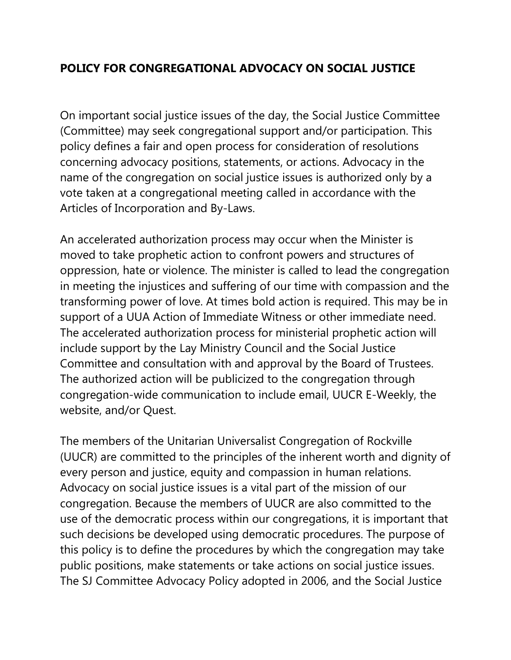## **POLICY FOR CONGREGATIONAL ADVOCACY ON SOCIAL JUSTICE**

On important social justice issues of the day, the Social Justice Committee (Committee) may seek congregational support and/or participation. This policy defines a fair and open process for consideration of resolutions concerning advocacy positions, statements, or actions. Advocacy in the name of the congregation on social justice issues is authorized only by a vote taken at a congregational meeting called in accordance with the Articles of Incorporation and By-Laws.

An accelerated authorization process may occur when the Minister is moved to take prophetic action to confront powers and structures of oppression, hate or violence. The minister is called to lead the congregation in meeting the injustices and suffering of our time with compassion and the transforming power of love. At times bold action is required. This may be in support of a UUA Action of Immediate Witness or other immediate need. The accelerated authorization process for ministerial prophetic action will include support by the Lay Ministry Council and the Social Justice Committee and consultation with and approval by the Board of Trustees. The authorized action will be publicized to the congregation through congregation-wide communication to include email, UUCR E-Weekly, the website, and/or Quest.

The members of the Unitarian Universalist Congregation of Rockville (UUCR) are committed to the principles of the inherent worth and dignity of every person and justice, equity and compassion in human relations. Advocacy on social justice issues is a vital part of the mission of our congregation. Because the members of UUCR are also committed to the use of the democratic process within our congregations, it is important that such decisions be developed using democratic procedures. The purpose of this policy is to define the procedures by which the congregation may take public positions, make statements or take actions on social justice issues. The SJ Committee Advocacy Policy adopted in 2006, and the Social Justice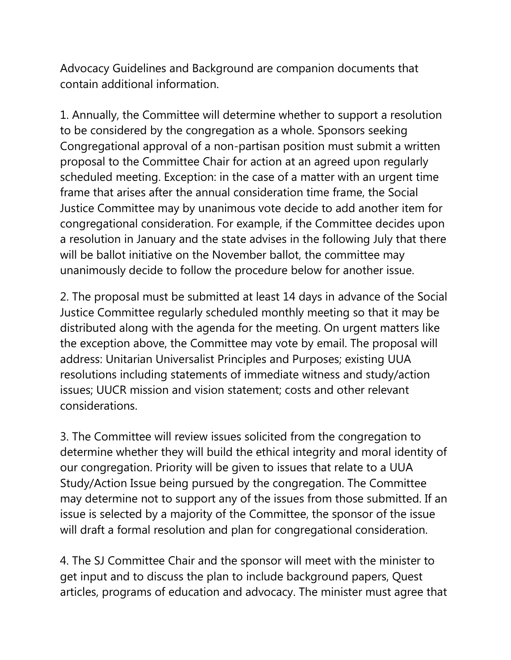Advocacy Guidelines and Background are companion documents that contain additional information.

1. Annually, the Committee will determine whether to support a resolution to be considered by the congregation as a whole. Sponsors seeking Congregational approval of a non-partisan position must submit a written proposal to the Committee Chair for action at an agreed upon regularly scheduled meeting. Exception: in the case of a matter with an urgent time frame that arises after the annual consideration time frame, the Social Justice Committee may by unanimous vote decide to add another item for congregational consideration. For example, if the Committee decides upon a resolution in January and the state advises in the following July that there will be ballot initiative on the November ballot, the committee may unanimously decide to follow the procedure below for another issue.

2. The proposal must be submitted at least 14 days in advance of the Social Justice Committee regularly scheduled monthly meeting so that it may be distributed along with the agenda for the meeting. On urgent matters like the exception above, the Committee may vote by email. The proposal will address: Unitarian Universalist Principles and Purposes; existing UUA resolutions including statements of immediate witness and study/action issues; UUCR mission and vision statement; costs and other relevant considerations.

3. The Committee will review issues solicited from the congregation to determine whether they will build the ethical integrity and moral identity of our congregation. Priority will be given to issues that relate to a UUA Study/Action Issue being pursued by the congregation. The Committee may determine not to support any of the issues from those submitted. If an issue is selected by a majority of the Committee, the sponsor of the issue will draft a formal resolution and plan for congregational consideration.

4. The SJ Committee Chair and the sponsor will meet with the minister to get input and to discuss the plan to include background papers, Quest articles, programs of education and advocacy. The minister must agree that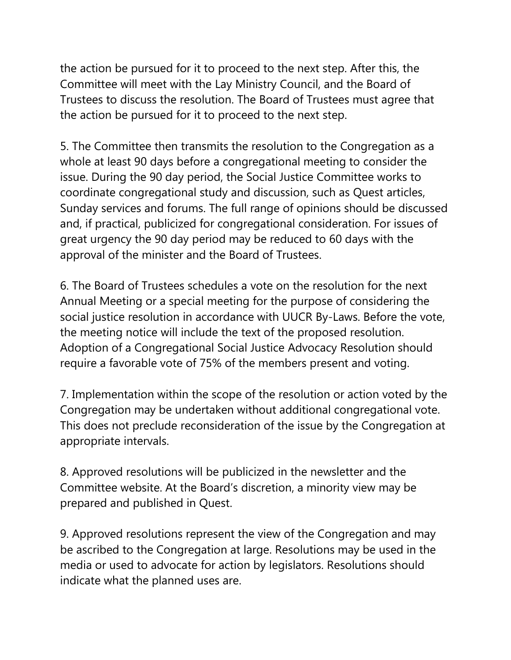the action be pursued for it to proceed to the next step. After this, the Committee will meet with the Lay Ministry Council, and the Board of Trustees to discuss the resolution. The Board of Trustees must agree that the action be pursued for it to proceed to the next step.

5. The Committee then transmits the resolution to the Congregation as a whole at least 90 days before a congregational meeting to consider the issue. During the 90 day period, the Social Justice Committee works to coordinate congregational study and discussion, such as Quest articles, Sunday services and forums. The full range of opinions should be discussed and, if practical, publicized for congregational consideration. For issues of great urgency the 90 day period may be reduced to 60 days with the approval of the minister and the Board of Trustees.

6. The Board of Trustees schedules a vote on the resolution for the next Annual Meeting or a special meeting for the purpose of considering the social justice resolution in accordance with UUCR By-Laws. Before the vote, the meeting notice will include the text of the proposed resolution. Adoption of a Congregational Social Justice Advocacy Resolution should require a favorable vote of 75% of the members present and voting.

7. Implementation within the scope of the resolution or action voted by the Congregation may be undertaken without additional congregational vote. This does not preclude reconsideration of the issue by the Congregation at appropriate intervals.

8. Approved resolutions will be publicized in the newsletter and the Committee website. At the Board's discretion, a minority view may be prepared and published in Quest.

9. Approved resolutions represent the view of the Congregation and may be ascribed to the Congregation at large. Resolutions may be used in the media or used to advocate for action by legislators. Resolutions should indicate what the planned uses are.